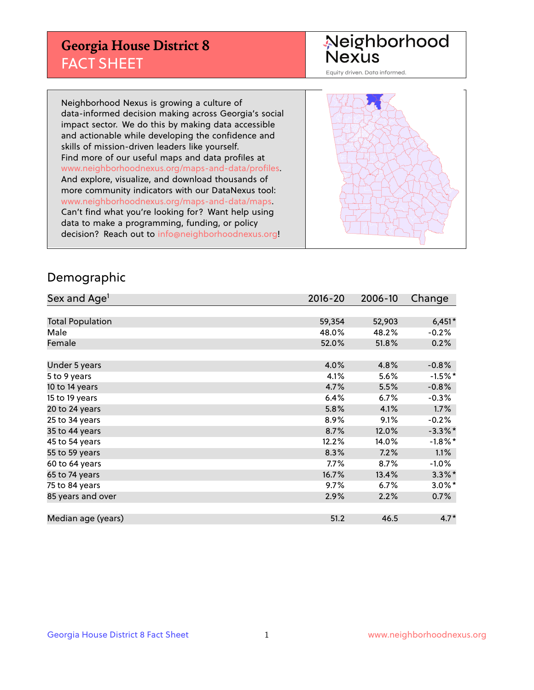## **Georgia House District 8** FACT SHEET

# Neighborhood<br>Nexus

Equity driven. Data informed.

Neighborhood Nexus is growing a culture of data-informed decision making across Georgia's social impact sector. We do this by making data accessible and actionable while developing the confidence and skills of mission-driven leaders like yourself. Find more of our useful maps and data profiles at www.neighborhoodnexus.org/maps-and-data/profiles. And explore, visualize, and download thousands of more community indicators with our DataNexus tool: www.neighborhoodnexus.org/maps-and-data/maps. Can't find what you're looking for? Want help using data to make a programming, funding, or policy decision? Reach out to [info@neighborhoodnexus.org!](mailto:info@neighborhoodnexus.org)



#### Demographic

| Sex and Age <sup>1</sup> | $2016 - 20$ | 2006-10 | Change     |
|--------------------------|-------------|---------|------------|
|                          |             |         |            |
| <b>Total Population</b>  | 59,354      | 52,903  | $6,451*$   |
| Male                     | 48.0%       | 48.2%   | $-0.2%$    |
| Female                   | 52.0%       | 51.8%   | 0.2%       |
|                          |             |         |            |
| Under 5 years            | 4.0%        | 4.8%    | $-0.8%$    |
| 5 to 9 years             | 4.1%        | 5.6%    | $-1.5\%$ * |
| 10 to 14 years           | 4.7%        | 5.5%    | $-0.8%$    |
| 15 to 19 years           | 6.4%        | 6.7%    | $-0.3%$    |
| 20 to 24 years           | 5.8%        | 4.1%    | 1.7%       |
| 25 to 34 years           | 8.9%        | 9.1%    | $-0.2%$    |
| 35 to 44 years           | 8.7%        | 12.0%   | $-3.3\%$ * |
| 45 to 54 years           | 12.2%       | 14.0%   | $-1.8\%$ * |
| 55 to 59 years           | 8.3%        | 7.2%    | 1.1%       |
| 60 to 64 years           | $7.7\%$     | 8.7%    | $-1.0\%$   |
| 65 to 74 years           | 16.7%       | 13.4%   | $3.3\%$ *  |
| 75 to 84 years           | 9.7%        | 6.7%    | $3.0\%$ *  |
| 85 years and over        | 2.9%        | 2.2%    | 0.7%       |
|                          |             |         |            |
| Median age (years)       | 51.2        | 46.5    | $4.7*$     |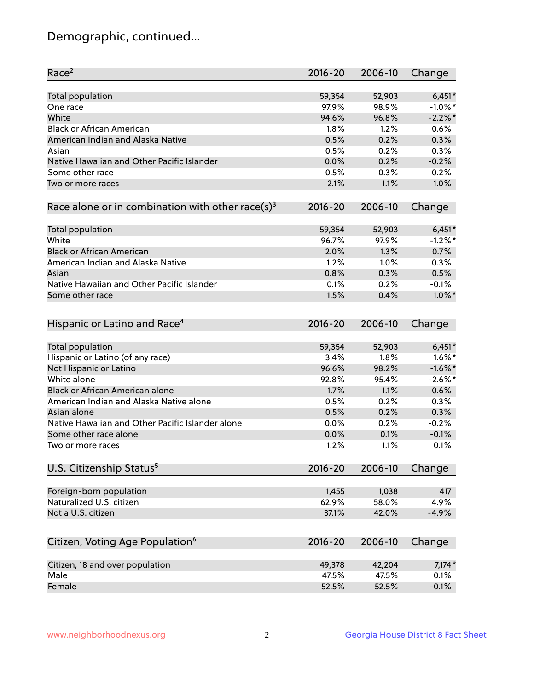## Demographic, continued...

| Race <sup>2</sup>                                            | $2016 - 20$  | 2006-10      | Change     |
|--------------------------------------------------------------|--------------|--------------|------------|
| <b>Total population</b>                                      | 59,354       | 52,903       | $6,451*$   |
| One race                                                     | 97.9%        | 98.9%        | $-1.0\%$ * |
| White                                                        | 94.6%        | 96.8%        | $-2.2\%$ * |
| <b>Black or African American</b>                             | 1.8%         | 1.2%         | 0.6%       |
| American Indian and Alaska Native                            | 0.5%         | 0.2%         | 0.3%       |
| Asian                                                        | 0.5%         | 0.2%         | 0.3%       |
| Native Hawaiian and Other Pacific Islander                   | 0.0%         | 0.2%         | $-0.2%$    |
| Some other race                                              | 0.5%         | 0.3%         | 0.2%       |
| Two or more races                                            | 2.1%         | 1.1%         | 1.0%       |
| Race alone or in combination with other race(s) <sup>3</sup> | $2016 - 20$  | 2006-10      | Change     |
|                                                              |              |              |            |
| Total population                                             | 59,354       | 52,903       | $6,451*$   |
| White                                                        | 96.7%        | 97.9%        | $-1.2%$ *  |
| <b>Black or African American</b>                             | 2.0%         | 1.3%         | 0.7%       |
| American Indian and Alaska Native                            | 1.2%         | 1.0%         | 0.3%       |
| Asian                                                        | 0.8%         | 0.3%         | 0.5%       |
| Native Hawaiian and Other Pacific Islander                   | 0.1%         | 0.2%         | $-0.1%$    |
| Some other race                                              | 1.5%         | 0.4%         | $1.0\%$ *  |
| Hispanic or Latino and Race <sup>4</sup>                     | $2016 - 20$  | 2006-10      | Change     |
| Total population                                             | 59,354       | 52,903       | $6,451*$   |
| Hispanic or Latino (of any race)                             | 3.4%         | 1.8%         | $1.6\%$ *  |
| Not Hispanic or Latino                                       | 96.6%        | 98.2%        | $-1.6\%$ * |
| White alone                                                  | 92.8%        | 95.4%        | $-2.6\%$ * |
| Black or African American alone                              | 1.7%         | 1.1%         | 0.6%       |
| American Indian and Alaska Native alone                      | 0.5%         | 0.2%         | 0.3%       |
| Asian alone                                                  | 0.5%         | 0.2%         | 0.3%       |
| Native Hawaiian and Other Pacific Islander alone             |              |              | $-0.2%$    |
|                                                              | 0.0%         | 0.2%         | $-0.1%$    |
| Some other race alone<br>Two or more races                   | 0.0%<br>1.2% | 0.1%<br>1.1% | 0.1%       |
|                                                              |              |              |            |
| U.S. Citizenship Status <sup>5</sup>                         | $2016 - 20$  | 2006-10      | Change     |
| Foreign-born population                                      | 1,455        | 1,038        | 417        |
| Naturalized U.S. citizen                                     | 62.9%        | 58.0%        | 4.9%       |
| Not a U.S. citizen                                           | 37.1%        | 42.0%        | $-4.9%$    |
|                                                              |              |              |            |
| Citizen, Voting Age Population <sup>6</sup>                  | 2016-20      | 2006-10      | Change     |
| Citizen, 18 and over population                              | 49,378       | 42,204       | $7,174*$   |
| Male                                                         | 47.5%        | 47.5%        | 0.1%       |
| Female                                                       | 52.5%        | 52.5%        | $-0.1%$    |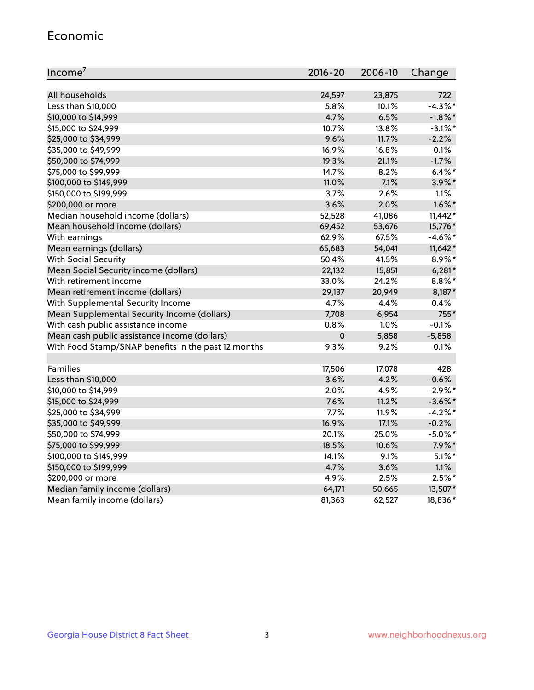#### Economic

| Income <sup>7</sup>                                 | $2016 - 20$ | 2006-10 | Change     |
|-----------------------------------------------------|-------------|---------|------------|
|                                                     |             |         |            |
| All households                                      | 24,597      | 23,875  | 722        |
| Less than \$10,000                                  | 5.8%        | 10.1%   | $-4.3\%$ * |
| \$10,000 to \$14,999                                | 4.7%        | 6.5%    | $-1.8\%$ * |
| \$15,000 to \$24,999                                | 10.7%       | 13.8%   | $-3.1\%$ * |
| \$25,000 to \$34,999                                | 9.6%        | 11.7%   | $-2.2%$    |
| \$35,000 to \$49,999                                | 16.9%       | 16.8%   | 0.1%       |
| \$50,000 to \$74,999                                | 19.3%       | 21.1%   | $-1.7%$    |
| \$75,000 to \$99,999                                | 14.7%       | 8.2%    | $6.4\%$ *  |
| \$100,000 to \$149,999                              | 11.0%       | 7.1%    | 3.9%*      |
| \$150,000 to \$199,999                              | 3.7%        | 2.6%    | 1.1%       |
| \$200,000 or more                                   | 3.6%        | 2.0%    | $1.6\%$ *  |
| Median household income (dollars)                   | 52,528      | 41,086  | $11,442*$  |
| Mean household income (dollars)                     | 69,452      | 53,676  | 15,776*    |
| With earnings                                       | 62.9%       | 67.5%   | $-4.6\%$ * |
| Mean earnings (dollars)                             | 65,683      | 54,041  | $11,642*$  |
| <b>With Social Security</b>                         | 50.4%       | 41.5%   | $8.9\%$ *  |
| Mean Social Security income (dollars)               | 22,132      | 15,851  | $6,281*$   |
| With retirement income                              | 33.0%       | 24.2%   | $8.8\%$ *  |
| Mean retirement income (dollars)                    | 29,137      | 20,949  | 8,187*     |
| With Supplemental Security Income                   | 4.7%        | 4.4%    | 0.4%       |
| Mean Supplemental Security Income (dollars)         | 7,708       | 6,954   | 755*       |
| With cash public assistance income                  | 0.8%        | 1.0%    | $-0.1%$    |
| Mean cash public assistance income (dollars)        | $\pmb{0}$   | 5,858   | $-5,858$   |
| With Food Stamp/SNAP benefits in the past 12 months | 9.3%        | 9.2%    | 0.1%       |
|                                                     |             |         |            |
| Families                                            | 17,506      | 17,078  | 428        |
| Less than \$10,000                                  | 3.6%        | 4.2%    | $-0.6%$    |
| \$10,000 to \$14,999                                | 2.0%        | 4.9%    | $-2.9%$ *  |
| \$15,000 to \$24,999                                | 7.6%        | 11.2%   | $-3.6\%$ * |
| \$25,000 to \$34,999                                | 7.7%        | 11.9%   | $-4.2%$ *  |
| \$35,000 to \$49,999                                | 16.9%       | 17.1%   | $-0.2%$    |
| \$50,000 to \$74,999                                | 20.1%       | 25.0%   | $-5.0\%$ * |
| \$75,000 to \$99,999                                | 18.5%       | 10.6%   | $7.9\%$ *  |
| \$100,000 to \$149,999                              | 14.1%       | $9.1\%$ | $5.1\%$ *  |
| \$150,000 to \$199,999                              | 4.7%        | 3.6%    | 1.1%       |
| \$200,000 or more                                   | 4.9%        | 2.5%    | $2.5%$ *   |
| Median family income (dollars)                      | 64,171      | 50,665  | 13,507*    |
| Mean family income (dollars)                        | 81,363      | 62,527  | 18,836*    |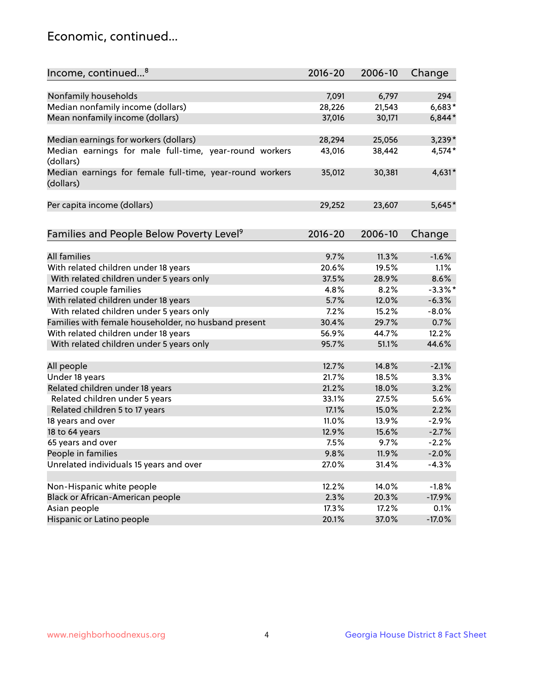## Economic, continued...

| Income, continued <sup>8</sup>                                        | $2016 - 20$ | 2006-10 | Change     |
|-----------------------------------------------------------------------|-------------|---------|------------|
|                                                                       |             |         |            |
| Nonfamily households                                                  | 7,091       | 6,797   | 294        |
| Median nonfamily income (dollars)                                     | 28,226      | 21,543  | $6,683*$   |
| Mean nonfamily income (dollars)                                       | 37,016      | 30,171  | $6,844*$   |
| Median earnings for workers (dollars)                                 | 28,294      | 25,056  | $3,239*$   |
| Median earnings for male full-time, year-round workers                | 43,016      | 38,442  | 4,574*     |
| (dollars)                                                             |             |         |            |
| Median earnings for female full-time, year-round workers<br>(dollars) | 35,012      | 30,381  | 4,631*     |
| Per capita income (dollars)                                           | 29,252      | 23,607  | $5,645*$   |
|                                                                       |             |         |            |
| Families and People Below Poverty Level <sup>9</sup>                  | 2016-20     | 2006-10 | Change     |
|                                                                       |             |         |            |
| <b>All families</b>                                                   | 9.7%        | 11.3%   | $-1.6%$    |
| With related children under 18 years                                  | 20.6%       | 19.5%   | 1.1%       |
| With related children under 5 years only                              | 37.5%       | 28.9%   | 8.6%       |
| Married couple families                                               | 4.8%        | 8.2%    | $-3.3\%$ * |
| With related children under 18 years                                  | 5.7%        | 12.0%   | $-6.3%$    |
| With related children under 5 years only                              | 7.2%        | 15.2%   | $-8.0%$    |
| Families with female householder, no husband present                  | 30.4%       | 29.7%   | 0.7%       |
| With related children under 18 years                                  | 56.9%       | 44.7%   | 12.2%      |
| With related children under 5 years only                              | 95.7%       | 51.1%   | 44.6%      |
| All people                                                            | 12.7%       | 14.8%   | $-2.1%$    |
| Under 18 years                                                        | 21.7%       | 18.5%   | 3.3%       |
|                                                                       | 21.2%       |         | 3.2%       |
| Related children under 18 years                                       |             | 18.0%   | 5.6%       |
| Related children under 5 years                                        | 33.1%       | 27.5%   |            |
| Related children 5 to 17 years                                        | 17.1%       | 15.0%   | 2.2%       |
| 18 years and over                                                     | 11.0%       | 13.9%   | $-2.9%$    |
| 18 to 64 years                                                        | 12.9%       | 15.6%   | $-2.7%$    |
| 65 years and over                                                     | 7.5%        | 9.7%    | $-2.2%$    |
| People in families                                                    | 9.8%        | 11.9%   | $-2.0%$    |
| Unrelated individuals 15 years and over                               | 27.0%       | 31.4%   | $-4.3%$    |
|                                                                       |             |         |            |
| Non-Hispanic white people                                             | 12.2%       | 14.0%   | $-1.8%$    |
| Black or African-American people                                      | 2.3%        | 20.3%   | $-17.9%$   |
| Asian people                                                          | 17.3%       | 17.2%   | 0.1%       |
| Hispanic or Latino people                                             | 20.1%       | 37.0%   | $-17.0%$   |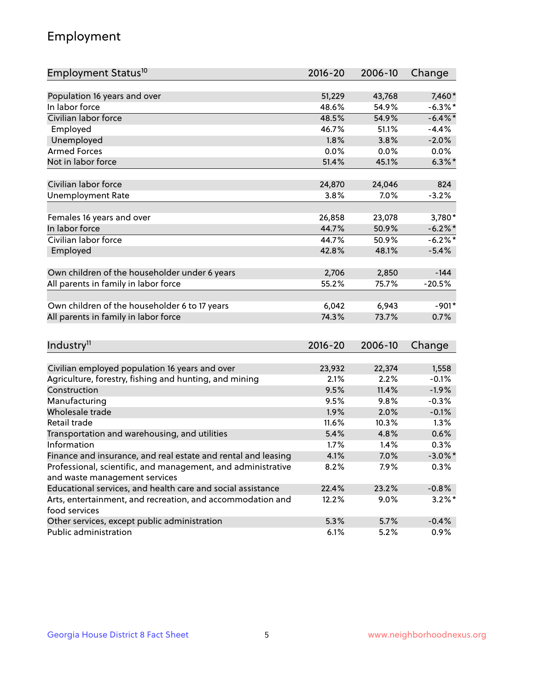## Employment

| Employment Status <sup>10</sup>                                             | $2016 - 20$ | 2006-10 | Change     |
|-----------------------------------------------------------------------------|-------------|---------|------------|
|                                                                             | 51,229      |         |            |
| Population 16 years and over<br>In labor force                              |             | 43,768  | 7,460*     |
| Civilian labor force                                                        | 48.6%       | 54.9%   | $-6.3\%$ * |
|                                                                             | 48.5%       | 54.9%   | $-6.4\%$ * |
| Employed                                                                    | 46.7%       | 51.1%   | $-4.4%$    |
| Unemployed                                                                  | 1.8%        | 3.8%    | $-2.0%$    |
| <b>Armed Forces</b>                                                         | 0.0%        | 0.0%    | 0.0%       |
| Not in labor force                                                          | 51.4%       | 45.1%   | $6.3\%$ *  |
| Civilian labor force                                                        | 24,870      | 24,046  | 824        |
| <b>Unemployment Rate</b>                                                    | 3.8%        | $7.0\%$ | $-3.2%$    |
|                                                                             |             |         |            |
| Females 16 years and over                                                   | 26,858      | 23,078  | 3,780*     |
| In labor force                                                              | 44.7%       | 50.9%   | $-6.2\%$ * |
| Civilian labor force                                                        | 44.7%       | 50.9%   | $-6.2%$ *  |
| Employed                                                                    | 42.8%       | 48.1%   | $-5.4%$    |
|                                                                             |             |         |            |
| Own children of the householder under 6 years                               | 2,706       | 2,850   | $-144$     |
| All parents in family in labor force                                        | 55.2%       | 75.7%   | $-20.5%$   |
| Own children of the householder 6 to 17 years                               | 6,042       | 6,943   | $-901*$    |
| All parents in family in labor force                                        | 74.3%       | 73.7%   | 0.7%       |
|                                                                             |             |         |            |
| Industry <sup>11</sup>                                                      | $2016 - 20$ | 2006-10 | Change     |
|                                                                             |             |         |            |
| Civilian employed population 16 years and over                              | 23,932      | 22,374  | 1,558      |
| Agriculture, forestry, fishing and hunting, and mining                      | 2.1%        | 2.2%    | $-0.1%$    |
| Construction                                                                | 9.5%        | 11.4%   | $-1.9%$    |
| Manufacturing                                                               | 9.5%        | 9.8%    | $-0.3%$    |
| Wholesale trade                                                             | 1.9%        | 2.0%    | $-0.1%$    |
| Retail trade                                                                | 11.6%       | 10.3%   | 1.3%       |
| Transportation and warehousing, and utilities                               | 5.4%        | 4.8%    | 0.6%       |
| Information                                                                 | 1.7%        | 1.4%    | 0.3%       |
| Finance and insurance, and real estate and rental and leasing               | 4.1%        | 7.0%    | $-3.0\%$ * |
| Professional, scientific, and management, and administrative                | 8.2%        | 7.9%    | 0.3%       |
| and waste management services                                               |             |         |            |
| Educational services, and health care and social assistance                 | 22.4%       | 23.2%   | $-0.8%$    |
| Arts, entertainment, and recreation, and accommodation and<br>food services | 12.2%       | $9.0\%$ | $3.2\%$ *  |
| Other services, except public administration                                | 5.3%        | 5.7%    | $-0.4%$    |
| Public administration                                                       | 6.1%        | 5.2%    | 0.9%       |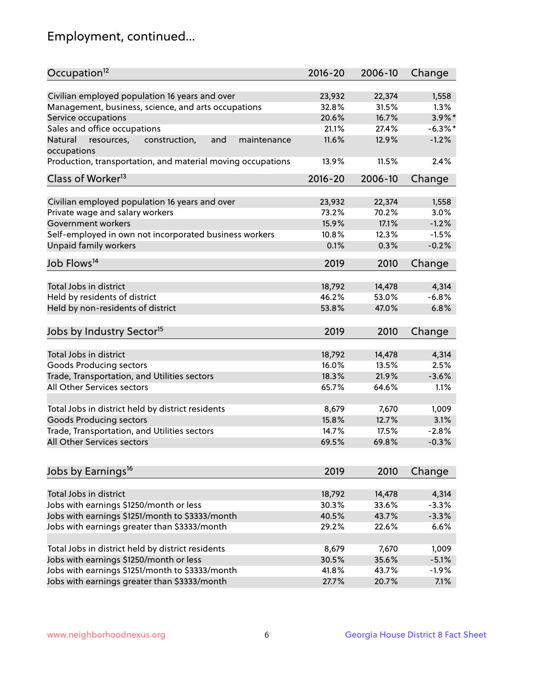## Employment, continued...

| Occupation <sup>12</sup>                                                    | $2016 - 20$ | 2006-10         | Change           |
|-----------------------------------------------------------------------------|-------------|-----------------|------------------|
| Civilian employed population 16 years and over                              | 23,932      |                 |                  |
|                                                                             | 32.8%       | 22,374<br>31.5% | 1,558<br>$1.3\%$ |
| Management, business, science, and arts occupations<br>Service occupations  | 20.6%       | 16.7%           | $3.9\%$ *        |
|                                                                             |             |                 | $-6.3\%$ *       |
| Sales and office occupations                                                | 21.1%       | 27.4%           |                  |
| Natural<br>and<br>resources,<br>construction,<br>maintenance<br>occupations | 11.6%       | 12.9%           | $-1.2%$          |
| Production, transportation, and material moving occupations                 | 13.9%       | 11.5%           | 2.4%             |
| Class of Worker <sup>13</sup>                                               | $2016 - 20$ | 2006-10         | Change           |
|                                                                             |             |                 |                  |
| Civilian employed population 16 years and over                              | 23,932      | 22,374          | 1,558            |
| Private wage and salary workers                                             | 73.2%       | 70.2%           | 3.0%             |
| Government workers                                                          | 15.9%       | 17.1%           | $-1.2%$          |
| Self-employed in own not incorporated business workers                      | 10.8%       | 12.3%           | $-1.5%$          |
| Unpaid family workers                                                       | 0.1%        | 0.3%            | $-0.2%$          |
| Job Flows <sup>14</sup>                                                     | 2019        | 2010            | Change           |
|                                                                             |             |                 |                  |
| Total Jobs in district                                                      | 18,792      | 14,478          | 4,314            |
| Held by residents of district                                               | 46.2%       | 53.0%           | $-6.8%$          |
| Held by non-residents of district                                           | 53.8%       | 47.0%           | 6.8%             |
| Jobs by Industry Sector <sup>15</sup>                                       | 2019        | 2010            | Change           |
|                                                                             |             |                 |                  |
| Total Jobs in district                                                      | 18,792      | 14,478          | 4,314            |
| Goods Producing sectors                                                     | 16.0%       | 13.5%           | 2.5%             |
| Trade, Transportation, and Utilities sectors                                | 18.3%       | 21.9%           | $-3.6%$          |
| All Other Services sectors                                                  | 65.7%       | 64.6%           | 1.1%             |
|                                                                             |             |                 |                  |
| Total Jobs in district held by district residents                           | 8,679       | 7,670           | 1,009            |
| <b>Goods Producing sectors</b>                                              | 15.8%       | 12.7%           | 3.1%             |
| Trade, Transportation, and Utilities sectors                                | 14.7%       | 17.5%           | $-2.8%$          |
| All Other Services sectors                                                  | 69.5%       | 69.8%           | $-0.3%$          |
|                                                                             |             |                 |                  |
| Jobs by Earnings <sup>16</sup>                                              | 2019        | 2010            | Change           |
|                                                                             |             |                 |                  |
| Total Jobs in district                                                      | 18,792      | 14,478          | 4,314            |
| Jobs with earnings \$1250/month or less                                     | 30.3%       | 33.6%           | $-3.3%$          |
| Jobs with earnings \$1251/month to \$3333/month                             | 40.5%       | 43.7%           | $-3.3%$          |
| Jobs with earnings greater than \$3333/month                                | 29.2%       | 22.6%           | 6.6%             |
| Total Jobs in district held by district residents                           | 8,679       | 7,670           | 1,009            |
| Jobs with earnings \$1250/month or less                                     | 30.5%       | 35.6%           | $-5.1%$          |
|                                                                             |             |                 |                  |
| Jobs with earnings \$1251/month to \$3333/month                             | 41.8%       | 43.7%           | $-1.9%$          |
| Jobs with earnings greater than \$3333/month                                | 27.7%       | 20.7%           | 7.1%             |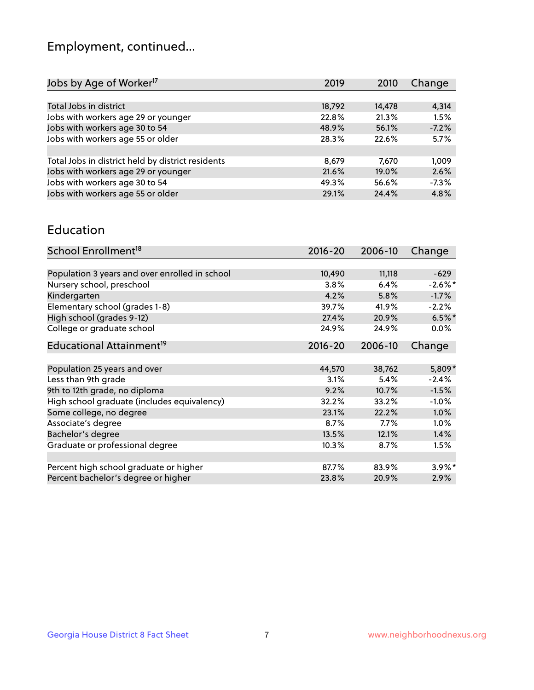## Employment, continued...

| Change  |
|---------|
|         |
| 4,314   |
| 1.5%    |
| $-7.2%$ |
| 5.7%    |
|         |
| 1,009   |
| 2.6%    |
| $-7.3%$ |
| 4.8%    |
|         |

#### Education

| School Enrollment <sup>18</sup>                | $2016 - 20$ | 2006-10 | Change     |
|------------------------------------------------|-------------|---------|------------|
|                                                |             |         |            |
| Population 3 years and over enrolled in school | 10,490      | 11,118  | $-629$     |
| Nursery school, preschool                      | 3.8%        | 6.4%    | $-2.6\%$ * |
| Kindergarten                                   | 4.2%        | 5.8%    | $-1.7%$    |
| Elementary school (grades 1-8)                 | 39.7%       | 41.9%   | $-2.2%$    |
| High school (grades 9-12)                      | 27.4%       | 20.9%   | $6.5%$ *   |
| College or graduate school                     | 24.9%       | 24.9%   | 0.0%       |
| Educational Attainment <sup>19</sup>           | $2016 - 20$ | 2006-10 | Change     |
|                                                |             |         |            |
| Population 25 years and over                   | 44,570      | 38,762  | 5,809*     |
| Less than 9th grade                            | 3.1%        | 5.4%    | $-2.4%$    |
| 9th to 12th grade, no diploma                  | 9.2%        | 10.7%   | $-1.5%$    |
| High school graduate (includes equivalency)    | 32.2%       | 33.2%   | $-1.0%$    |
| Some college, no degree                        | 23.1%       | 22.2%   | 1.0%       |
| Associate's degree                             | 8.7%        | 7.7%    | 1.0%       |
| Bachelor's degree                              | 13.5%       | 12.1%   | 1.4%       |
| Graduate or professional degree                | 10.3%       | 8.7%    | 1.5%       |
|                                                |             |         |            |
| Percent high school graduate or higher         | 87.7%       | 83.9%   | $3.9\%*$   |
| Percent bachelor's degree or higher            | 23.8%       | 20.9%   | 2.9%       |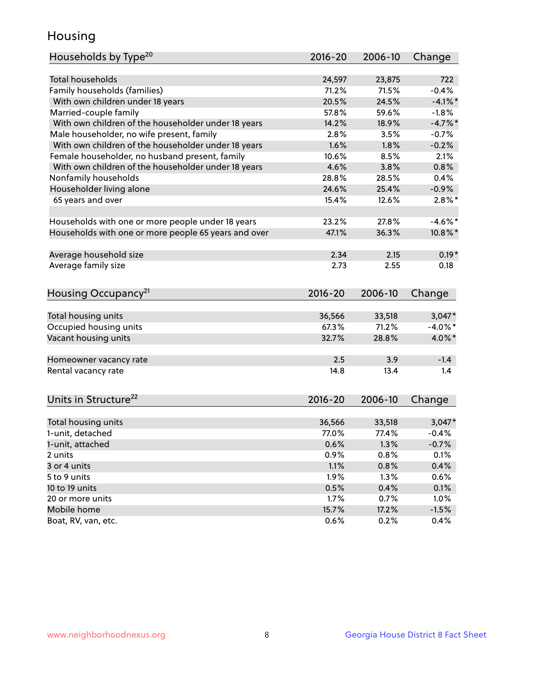## Housing

| Households by Type <sup>20</sup>                     | 2016-20 | 2006-10 | Change     |
|------------------------------------------------------|---------|---------|------------|
|                                                      |         |         |            |
| <b>Total households</b>                              | 24,597  | 23,875  | 722        |
| Family households (families)                         | 71.2%   | 71.5%   | $-0.4%$    |
| With own children under 18 years                     | 20.5%   | 24.5%   | $-4.1\%$ * |
| Married-couple family                                | 57.8%   | 59.6%   | $-1.8%$    |
| With own children of the householder under 18 years  | 14.2%   | 18.9%   | $-4.7%$    |
| Male householder, no wife present, family            | 2.8%    | 3.5%    | $-0.7%$    |
| With own children of the householder under 18 years  | 1.6%    | 1.8%    | $-0.2%$    |
| Female householder, no husband present, family       | 10.6%   | 8.5%    | 2.1%       |
| With own children of the householder under 18 years  | 4.6%    | 3.8%    | 0.8%       |
| Nonfamily households                                 | 28.8%   | 28.5%   | 0.4%       |
| Householder living alone                             | 24.6%   | 25.4%   | $-0.9%$    |
| 65 years and over                                    | 15.4%   | 12.6%   | $2.8\%$ *  |
|                                                      |         |         |            |
| Households with one or more people under 18 years    | 23.2%   | 27.8%   | $-4.6\%$ * |
| Households with one or more people 65 years and over | 47.1%   | 36.3%   | $10.8\%$ * |
|                                                      |         |         |            |
| Average household size                               | 2.34    | 2.15    | $0.19*$    |
| Average family size                                  | 2.73    | 2.55    | 0.18       |
|                                                      |         |         |            |
| Housing Occupancy <sup>21</sup>                      | 2016-20 | 2006-10 | Change     |
|                                                      |         |         |            |
| Total housing units                                  | 36,566  | 33,518  | $3,047*$   |
| Occupied housing units                               | 67.3%   | 71.2%   | $-4.0\%$ * |
| Vacant housing units                                 | 32.7%   | 28.8%   | 4.0%*      |
|                                                      |         |         |            |
| Homeowner vacancy rate                               | 2.5     | 3.9     | $-1.4$     |
| Rental vacancy rate                                  | 14.8    | 13.4    | 1.4        |
|                                                      |         |         |            |
| Units in Structure <sup>22</sup>                     | 2016-20 |         |            |
|                                                      |         | 2006-10 | Change     |
| Total housing units                                  | 36,566  | 33,518  | $3,047*$   |
| 1-unit, detached                                     | 77.0%   | 77.4%   | $-0.4%$    |
| 1-unit, attached                                     | 0.6%    | 1.3%    | $-0.7%$    |
| 2 units                                              | 0.9%    | 0.8%    | 0.1%       |
| 3 or 4 units                                         | 1.1%    | 0.8%    | 0.4%       |
|                                                      |         |         |            |
| 5 to 9 units                                         | 1.9%    | 1.3%    | 0.6%       |
| 10 to 19 units                                       | 0.5%    | 0.4%    | 0.1%       |
| 20 or more units                                     | 1.7%    | 0.7%    | 1.0%       |
| Mobile home                                          | 15.7%   | 17.2%   | $-1.5%$    |
| Boat, RV, van, etc.                                  | 0.6%    | 0.2%    | 0.4%       |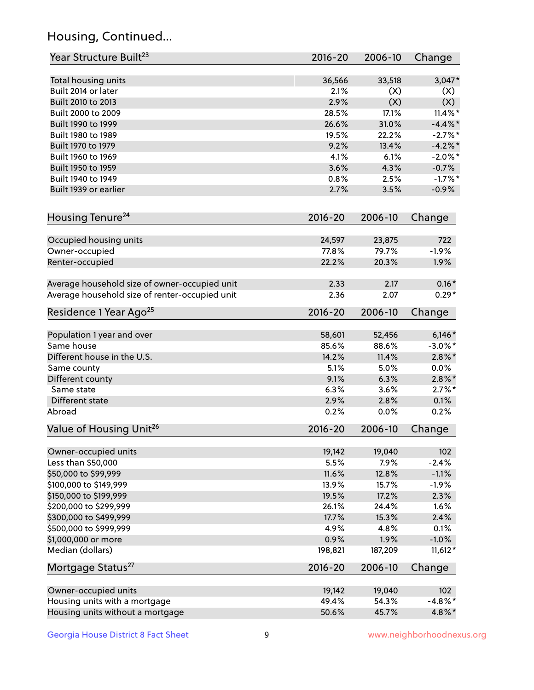## Housing, Continued...

| Year Structure Built <sup>23</sup>               | 2016-20        | 2006-10        | Change          |
|--------------------------------------------------|----------------|----------------|-----------------|
| Total housing units                              | 36,566         | 33,518         | $3,047*$        |
| Built 2014 or later                              | 2.1%           | (X)            | (X)             |
| Built 2010 to 2013                               | 2.9%           | (X)            | (X)             |
| Built 2000 to 2009                               | 28.5%          | 17.1%          | $11.4\%$ *      |
| Built 1990 to 1999                               | 26.6%          | 31.0%          | $-4.4\%$ *      |
| Built 1980 to 1989                               | 19.5%          | 22.2%          | $-2.7%$ *       |
| Built 1970 to 1979                               | 9.2%           | 13.4%          | $-4.2\%$ *      |
| Built 1960 to 1969                               | 4.1%           | 6.1%           | $-2.0\%$ *      |
| Built 1950 to 1959                               | 3.6%           | 4.3%           | $-0.7%$         |
| Built 1940 to 1949                               | 0.8%           | 2.5%           | $-1.7%$ *       |
| Built 1939 or earlier                            | 2.7%           | 3.5%           | $-0.9%$         |
| Housing Tenure <sup>24</sup>                     | $2016 - 20$    | 2006-10        | Change          |
|                                                  |                |                |                 |
| Occupied housing units                           | 24,597         | 23,875         | 722             |
| Owner-occupied                                   | 77.8%          | 79.7%          | $-1.9%$         |
| Renter-occupied                                  | 22.2%          | 20.3%          | 1.9%            |
| Average household size of owner-occupied unit    | 2.33           | 2.17           | $0.16*$         |
| Average household size of renter-occupied unit   | 2.36           | 2.07           | $0.29*$         |
| Residence 1 Year Ago <sup>25</sup>               | $2016 - 20$    | 2006-10        | Change          |
| Population 1 year and over                       | 58,601         | 52,456         | $6,146*$        |
| Same house                                       | 85.6%          | 88.6%          | $-3.0\%$ *      |
| Different house in the U.S.                      | 14.2%          | 11.4%          | $2.8\%$ *       |
| Same county                                      | 5.1%           | 5.0%           | 0.0%            |
| Different county                                 | 9.1%           | 6.3%           | $2.8\%$ *       |
| Same state                                       | 6.3%           | 3.6%           | $2.7\%$ *       |
| Different state                                  | 2.9%           | 2.8%           | 0.1%            |
| Abroad                                           | 0.2%           | 0.0%           | 0.2%            |
| Value of Housing Unit <sup>26</sup>              | $2016 - 20$    | 2006-10        | Change          |
|                                                  |                |                |                 |
| Owner-occupied units                             | 19,142         | 19,040         | 102             |
| Less than \$50,000                               | 5.5%           | 7.9%           | $-2.4%$         |
| \$50,000 to \$99,999                             | 11.6%          | 12.8%          | $-1.1%$         |
| \$100,000 to \$149,999                           | 13.9%          | 15.7%          | $-1.9%$         |
| \$150,000 to \$199,999<br>\$200,000 to \$299,999 | 19.5%          | 17.2%<br>24.4% | 2.3%            |
| \$300,000 to \$499,999                           | 26.1%<br>17.7% |                | 1.6%<br>2.4%    |
| \$500,000 to \$999,999                           |                | 15.3%          |                 |
| \$1,000,000 or more                              | 4.9%<br>0.9%   | 4.8%<br>1.9%   | 0.1%<br>$-1.0%$ |
| Median (dollars)                                 | 198,821        | 187,209        | $11,612*$       |
| Mortgage Status <sup>27</sup>                    | $2016 - 20$    | 2006-10        | Change          |
|                                                  |                |                |                 |
| Owner-occupied units                             | 19,142         | 19,040         | 102             |
| Housing units with a mortgage                    | 49.4%          | 54.3%          | $-4.8\%$ *      |
| Housing units without a mortgage                 | 50.6%          | 45.7%          | 4.8%*           |
|                                                  |                |                |                 |

Georgia House District 8 Fact Sheet 9 9 9 Www.neighborhoodnexus.org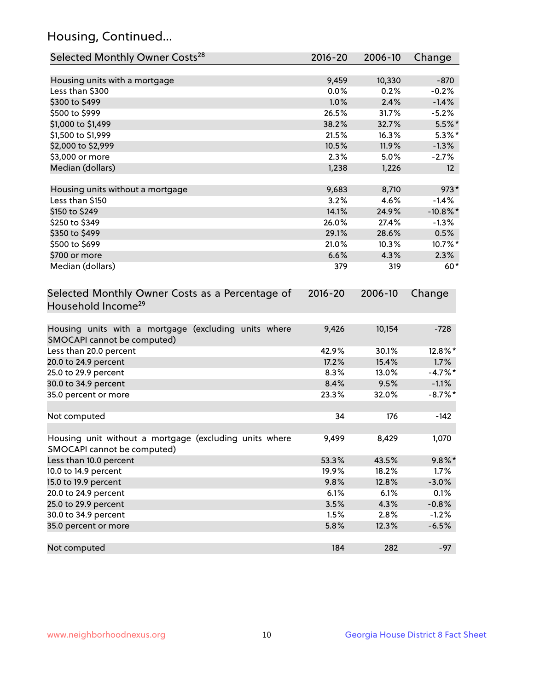## Housing, Continued...

| Selected Monthly Owner Costs <sup>28</sup>                                            | $2016 - 20$   | 2006-10       | Change                 |
|---------------------------------------------------------------------------------------|---------------|---------------|------------------------|
| Housing units with a mortgage                                                         | 9,459         | 10,330        | $-870$                 |
| Less than \$300                                                                       | 0.0%          | 0.2%          | $-0.2%$                |
| \$300 to \$499                                                                        | 1.0%          | 2.4%          | $-1.4%$                |
| \$500 to \$999                                                                        | 26.5%         | 31.7%         | $-5.2%$                |
| \$1,000 to \$1,499                                                                    | 38.2%         | 32.7%         | $5.5%$ *               |
| \$1,500 to \$1,999                                                                    | 21.5%         | 16.3%         | $5.3\%$ *              |
| \$2,000 to \$2,999                                                                    | 10.5%         | 11.9%         | $-1.3%$                |
| \$3,000 or more                                                                       | 2.3%          | 5.0%          | $-2.7%$                |
| Median (dollars)                                                                      | 1,238         | 1,226         | 12 <sup>2</sup>        |
|                                                                                       |               |               |                        |
| Housing units without a mortgage<br>Less than \$150                                   | 9,683<br>3.2% | 8,710<br>4.6% | $973*$<br>$-1.4%$      |
| \$150 to \$249                                                                        | 14.1%         | 24.9%         |                        |
| \$250 to \$349                                                                        | 26.0%         | 27.4%         | $-10.8\%$ *<br>$-1.3%$ |
| \$350 to \$499                                                                        | 29.1%         | 28.6%         | 0.5%                   |
| \$500 to \$699                                                                        | 21.0%         | 10.3%         | 10.7%*                 |
| \$700 or more                                                                         | 6.6%          | 4.3%          | 2.3%                   |
| Median (dollars)                                                                      | 379           | 319           | $60*$                  |
| Selected Monthly Owner Costs as a Percentage of<br>Household Income <sup>29</sup>     | $2016 - 20$   | 2006-10       | Change                 |
| Housing units with a mortgage (excluding units where<br>SMOCAPI cannot be computed)   | 9,426         | 10,154        | $-728$                 |
| Less than 20.0 percent                                                                | 42.9%         | 30.1%         | 12.8%*                 |
| 20.0 to 24.9 percent                                                                  | 17.2%         | 15.4%         | 1.7%                   |
| 25.0 to 29.9 percent                                                                  | 8.3%          | 13.0%         | $-4.7\%$ *             |
| 30.0 to 34.9 percent                                                                  | 8.4%          | 9.5%          | $-1.1%$                |
| 35.0 percent or more                                                                  | 23.3%         | 32.0%         | $-8.7\%$ *             |
| Not computed                                                                          | 34            | 176           | $-142$                 |
| Housing unit without a mortgage (excluding units where<br>SMOCAPI cannot be computed) | 9,499         | 8,429         | 1,070                  |
| Less than 10.0 percent                                                                | 53.3%         | 43.5%         | $9.8\%$ *              |
| 10.0 to 14.9 percent                                                                  | 19.9%         | 18.2%         | 1.7%                   |
| 15.0 to 19.9 percent                                                                  | 9.8%          | 12.8%         | $-3.0%$                |
| 20.0 to 24.9 percent                                                                  | 6.1%          | 6.1%          | 0.1%                   |
| 25.0 to 29.9 percent                                                                  | 3.5%          | 4.3%          | $-0.8%$                |
| 30.0 to 34.9 percent                                                                  | 1.5%          | 2.8%          | $-1.2%$                |
| 35.0 percent or more                                                                  | 5.8%          | 12.3%         | $-6.5%$                |
| Not computed                                                                          | 184           | 282           | $-97$                  |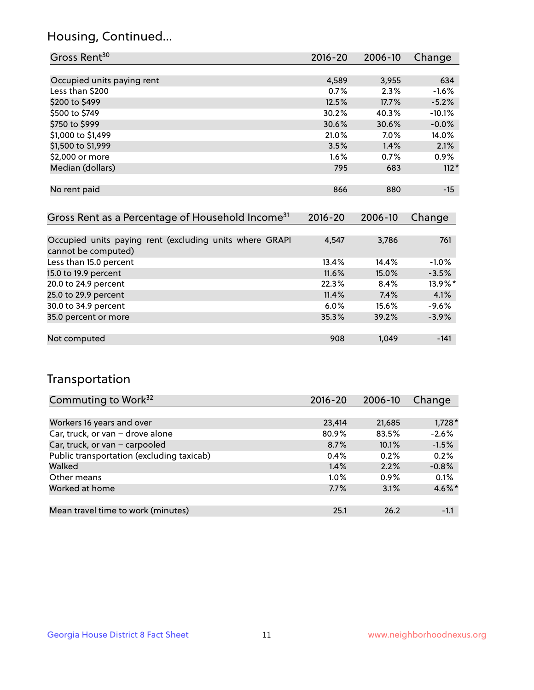### Housing, Continued...

| Gross Rent <sup>30</sup>                                     | 2016-20     | 2006-10     | Change   |
|--------------------------------------------------------------|-------------|-------------|----------|
|                                                              |             |             |          |
| Occupied units paying rent                                   | 4,589       | 3,955       | 634      |
| Less than \$200                                              | 0.7%        | 2.3%        | $-1.6%$  |
| \$200 to \$499                                               | 12.5%       | 17.7%       | $-5.2%$  |
| \$500 to \$749                                               | 30.2%       | 40.3%       | $-10.1%$ |
| \$750 to \$999                                               | 30.6%       | 30.6%       | $-0.0%$  |
| \$1,000 to \$1,499                                           | 21.0%       | $7.0\%$     | 14.0%    |
| \$1,500 to \$1,999                                           | 3.5%        | 1.4%        | 2.1%     |
| \$2,000 or more                                              | 1.6%        | 0.7%        | $0.9\%$  |
| Median (dollars)                                             | 795         | 683         | $112*$   |
|                                                              |             |             |          |
| No rent paid                                                 | 866         | 880         | $-15$    |
|                                                              |             |             |          |
| Gross Rent as a Percentage of Household Income <sup>31</sup> | $2016 - 20$ | $2006 - 10$ | Change   |

| Occupied units paying rent (excluding units where GRAPI | 4,547    | 3,786 | 761     |
|---------------------------------------------------------|----------|-------|---------|
| cannot be computed)                                     |          |       |         |
| Less than 15.0 percent                                  | 13.4%    | 14.4% | $-1.0%$ |
| 15.0 to 19.9 percent                                    | $11.6\%$ | 15.0% | $-3.5%$ |
| 20.0 to 24.9 percent                                    | 22.3%    | 8.4%  | 13.9%*  |
| 25.0 to 29.9 percent                                    | 11.4%    | 7.4%  | 4.1%    |
| 30.0 to 34.9 percent                                    | $6.0\%$  | 15.6% | $-9.6%$ |
| 35.0 percent or more                                    | 35.3%    | 39.2% | $-3.9%$ |
|                                                         |          |       |         |
| Not computed                                            | 908      | 1.049 | $-141$  |

### Transportation

| Commuting to Work <sup>32</sup>           | 2016-20 | 2006-10 | Change   |
|-------------------------------------------|---------|---------|----------|
|                                           |         |         |          |
| Workers 16 years and over                 | 23,414  | 21,685  | $1,728*$ |
| Car, truck, or van - drove alone          | 80.9%   | 83.5%   | $-2.6%$  |
| Car, truck, or van - carpooled            | 8.7%    | 10.1%   | $-1.5%$  |
| Public transportation (excluding taxicab) | 0.4%    | 0.2%    | 0.2%     |
| Walked                                    | 1.4%    | 2.2%    | $-0.8%$  |
| Other means                               | $1.0\%$ | $0.9\%$ | 0.1%     |
| Worked at home                            | 7.7%    | 3.1%    | 4.6%*    |
|                                           |         |         |          |
| Mean travel time to work (minutes)        | 25.1    | 26.2    | $-1.1$   |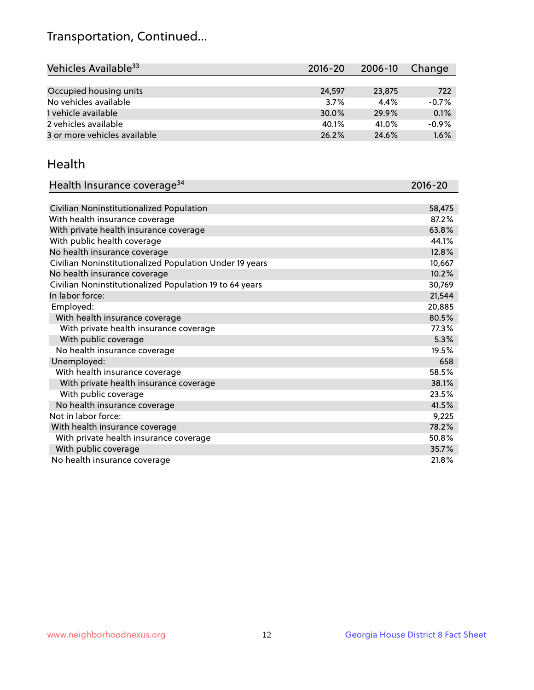## Transportation, Continued...

| Vehicles Available <sup>33</sup> | $2016 - 20$ | 2006-10 | Change  |
|----------------------------------|-------------|---------|---------|
|                                  |             |         |         |
| Occupied housing units           | 24,597      | 23,875  | 722     |
| No vehicles available            | 3.7%        | 4.4%    | $-0.7%$ |
| 1 vehicle available              | 30.0%       | 29.9%   | 0.1%    |
| 2 vehicles available             | 40.1%       | 41.0%   | $-0.9%$ |
| 3 or more vehicles available     | 26.2%       | 24.6%   | 1.6%    |

#### Health

| Health Insurance coverage <sup>34</sup>                 | 2016-20 |
|---------------------------------------------------------|---------|
|                                                         |         |
| Civilian Noninstitutionalized Population                | 58,475  |
| With health insurance coverage                          | 87.2%   |
| With private health insurance coverage                  | 63.8%   |
| With public health coverage                             | 44.1%   |
| No health insurance coverage                            | 12.8%   |
| Civilian Noninstitutionalized Population Under 19 years | 10,667  |
| No health insurance coverage                            | 10.2%   |
| Civilian Noninstitutionalized Population 19 to 64 years | 30,769  |
| In labor force:                                         | 21,544  |
| Employed:                                               | 20,885  |
| With health insurance coverage                          | 80.5%   |
| With private health insurance coverage                  | 77.3%   |
| With public coverage                                    | 5.3%    |
| No health insurance coverage                            | 19.5%   |
| Unemployed:                                             | 658     |
| With health insurance coverage                          | 58.5%   |
| With private health insurance coverage                  | 38.1%   |
| With public coverage                                    | 23.5%   |
| No health insurance coverage                            | 41.5%   |
| Not in labor force:                                     | 9,225   |
| With health insurance coverage                          | 78.2%   |
| With private health insurance coverage                  | 50.8%   |
| With public coverage                                    | 35.7%   |
| No health insurance coverage                            | 21.8%   |